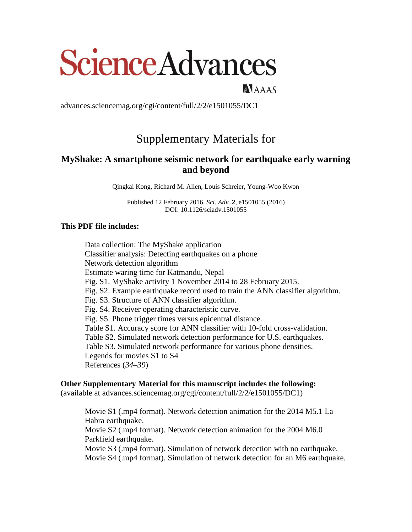# ScienceAdvances

NAAAS

advances.sciencemag.org/cgi/content/full/2/2/e1501055/DC1

# Supplementary Materials for

# **MyShake: A smartphone seismic network for earthquake early warning and beyond**

Qingkai Kong, Richard M. Allen, Louis Schreier, Young-Woo Kwon

Published 12 February 2016, *Sci. Adv.* **2**, e1501055 (2016) DOI: 10.1126/sciadv.1501055

## **This PDF file includes:**

Data collection: The MyShake application Classifier analysis: Detecting earthquakes on a phone Network detection algorithm Estimate waring time for Katmandu, Nepal Fig. S1. MyShake activity 1 November 2014 to 28 February 2015. Fig. S2. Example earthquake record used to train the ANN classifier algorithm. Fig. S3. Structure of ANN classifier algorithm. Fig. S4. Receiver operating characteristic curve. Fig. S5. Phone trigger times versus epicentral distance. Table S1. Accuracy score for ANN classifier with 10-fold cross-validation. Table S2. Simulated network detection performance for U.S. earthquakes. Table S3. Simulated network performance for various phone densities. Legends for movies S1 to S4 References (*34*–*39*)

### **Other Supplementary Material for this manuscript includes the following:**

(available at advances.sciencemag.org/cgi/content/full/2/2/e1501055/DC1)

Movie S1 (.mp4 format). Network detection animation for the 2014 M5.1 La Habra earthquake. Movie S2 (.mp4 format). Network detection animation for the 2004 M6.0 Parkfield earthquake. Movie S3 (.mp4 format). Simulation of network detection with no earthquake.

Movie S4 (.mp4 format). Simulation of network detection for an M6 earthquake.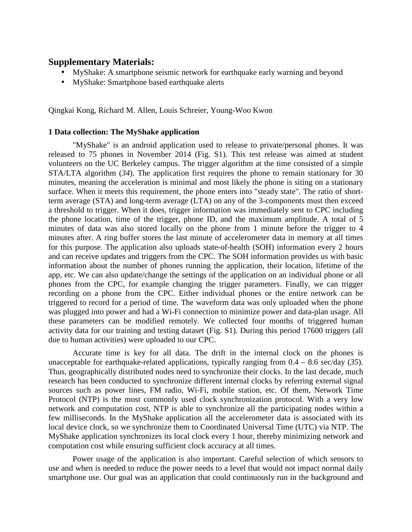# **Supplementary Materials:**

- MyShake: A smartphone seismic network for earthquake early warning and beyond
- MyShake: Smartphone based earthquake alerts

Qingkai Kong, Richard M. Allen, Louis Schreier, Young-Woo Kwon

#### **1 Data collection: The MyShake application**

"MyShake" is an android application used to release to private/personal phones. It was released to 75 phones in November 2014 (Fig. S1). This test release was aimed at student volunteers on the UC Berkeley campus. The trigger algorithm at the time consisted of a simple STA/LTA algorithm (*34*). The application first requires the phone to remain stationary for 30 minutes, meaning the acceleration is minimal and most likely the phone is siting on a stationary surface. When it meets this requirement, the phone enters into "steady state". The ratio of shortterm average (STA) and long-term average (LTA) on any of the 3-components must then exceed a threshold to trigger. When it does, trigger information was immediately sent to CPC including the phone location, time of the trigger, phone ID, and the maximum amplitude. A total of 5 minutes of data was also stored locally on the phone from 1 minute before the trigger to 4 minutes after. A ring buffer stores the last minute of accelerometer data in memory at all times for this purpose. The application also uploads state-of-health (SOH) information every 2 hours and can receive updates and triggers from the CPC. The SOH information provides us with basic information about the number of phones running the application, their location, lifetime of the app, etc. We can also update/change the settings of the application on an individual phone or all phones from the CPC, for example changing the trigger parameters. Finally, we can trigger recording on a phone from the CPC. Either individual phones or the entire network can be triggered to record for a period of time. The waveform data was only uploaded when the phone was plugged into power and had a Wi-Fi connection to minimize power and data-plan usage. All these parameters can be modified remotely. We collected four months of triggered human activity data for our training and testing dataset (Fig. S1). During this period 17600 triggers (all due to human activities) were uploaded to our CPC.

Accurate time is key for all data. The drift in the internal clock on the phones is unacceptable for earthquake-related applications, typically ranging from 0.4 – 8.6 sec/day (*35*). Thus, geographically distributed nodes need to synchronize their clocks. In the last decade, much research has been conducted to synchronize different internal clocks by referring external signal sources such as power lines, FM radio, Wi-Fi, mobile station, etc. Of them, Network Time Protocol (NTP) is the most commonly used clock synchronization protocol. With a very low network and computation cost, NTP is able to synchronize all the participating nodes within a few milliseconds. In the MyShake application all the accelerometer data is associated with its local device clock, so we synchronize them to Coordinated Universal Time (UTC) via NTP. The MyShake application synchronizes its local clock every 1 hour, thereby minimizing network and computation cost while ensuring sufficient clock accuracy at all times.

Power usage of the application is also important. Careful selection of which sensors to use and when is needed to reduce the power needs to a level that would not impact normal daily smartphone use. Our goal was an application that could continuously run in the background and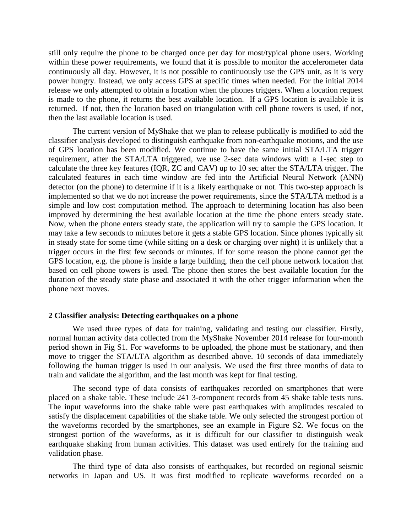still only require the phone to be charged once per day for most/typical phone users. Working within these power requirements, we found that it is possible to monitor the accelerometer data continuously all day. However, it is not possible to continuously use the GPS unit, as it is very power hungry. Instead, we only access GPS at specific times when needed. For the initial 2014 release we only attempted to obtain a location when the phones triggers. When a location request is made to the phone, it returns the best available location. If a GPS location is available it is returned. If not, then the location based on triangulation with cell phone towers is used, if not, then the last available location is used.

The current version of MyShake that we plan to release publically is modified to add the classifier analysis developed to distinguish earthquake from non-earthquake motions, and the use of GPS location has been modified. We continue to have the same initial STA/LTA trigger requirement, after the STA/LTA triggered, we use 2-sec data windows with a 1-sec step to calculate the three key features (IQR, ZC and CAV) up to 10 sec after the STA/LTA trigger. The calculated features in each time window are fed into the Artificial Neural Network (ANN) detector (on the phone) to determine if it is a likely earthquake or not. This two-step approach is implemented so that we do not increase the power requirements, since the STA/LTA method is a simple and low cost computation method. The approach to determining location has also been improved by determining the best available location at the time the phone enters steady state. Now, when the phone enters steady state, the application will try to sample the GPS location. It may take a few seconds to minutes before it gets a stable GPS location. Since phones typically sit in steady state for some time (while sitting on a desk or charging over night) it is unlikely that a trigger occurs in the first few seconds or minutes. If for some reason the phone cannot get the GPS location, e.g. the phone is inside a large building, then the cell phone network location that based on cell phone towers is used. The phone then stores the best available location for the duration of the steady state phase and associated it with the other trigger information when the phone next moves.

#### **2 Classifier analysis: Detecting earthquakes on a phone**

We used three types of data for training, validating and testing our classifier. Firstly, normal human activity data collected from the MyShake November 2014 release for four-month period shown in Fig S1. For waveforms to be uploaded, the phone must be stationary, and then move to trigger the STA/LTA algorithm as described above. 10 seconds of data immediately following the human trigger is used in our analysis. We used the first three months of data to train and validate the algorithm, and the last month was kept for final testing.

The second type of data consists of earthquakes recorded on smartphones that were placed on a shake table. These include 241 3-component records from 45 shake table tests runs. The input waveforms into the shake table were past earthquakes with amplitudes rescaled to satisfy the displacement capabilities of the shake table. We only selected the strongest portion of the waveforms recorded by the smartphones, see an example in Figure S2. We focus on the strongest portion of the waveforms, as it is difficult for our classifier to distinguish weak earthquake shaking from human activities. This dataset was used entirely for the training and validation phase.

The third type of data also consists of earthquakes, but recorded on regional seismic networks in Japan and US. It was first modified to replicate waveforms recorded on a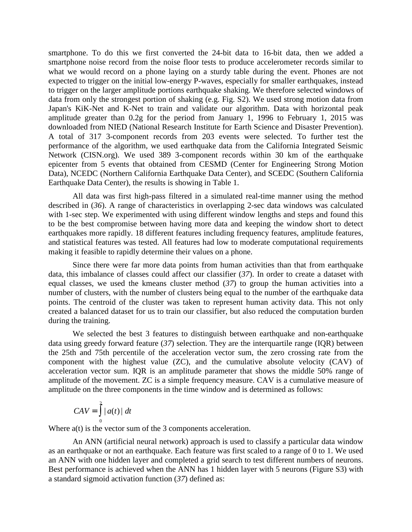smartphone. To do this we first converted the 24-bit data to 16-bit data, then we added a smartphone noise record from the noise floor tests to produce accelerometer records similar to what we would record on a phone laying on a sturdy table during the event. Phones are not expected to trigger on the initial low-energy P-waves, especially for smaller earthquakes, instead to trigger on the larger amplitude portions earthquake shaking. We therefore selected windows of data from only the strongest portion of shaking (e.g. Fig. S2). We used strong motion data from Japan's KiK-Net and K-Net to train and validate our algorithm. Data with horizontal peak amplitude greater than 0.2g for the period from January 1, 1996 to February 1, 2015 was downloaded from NIED (National Research Institute for Earth Science and Disaster Prevention). A total of 317 3-component records from 203 events were selected. To further test the performance of the algorithm, we used earthquake data from the California Integrated Seismic Network (CISN.org). We used 389 3-component records within 30 km of the earthquake epicenter from 5 events that obtained from CESMD (Center for Engineering Strong Motion Data), NCEDC (Northern California Earthquake Data Center), and SCEDC (Southern California Earthquake Data Center), the results is showing in Table 1.

All data was first high-pass filtered in a simulated real-time manner using the method described in (*36*). A range of characteristics in overlapping 2-sec data windows was calculated with 1-sec step. We experimented with using different window lengths and steps and found this to be the best compromise between having more data and keeping the window short to detect earthquakes more rapidly. 18 different features including frequency features, amplitude features, and statistical features was tested. All features had low to moderate computational requirements making it feasible to rapidly determine their values on a phone.

Since there were far more data points from human activities than that from earthquake data, this imbalance of classes could affect our classifier (*37*). In order to create a dataset with equal classes, we used the kmeans cluster method (*37*) to group the human activities into a number of clusters, with the number of clusters being equal to the number of the earthquake data points. The centroid of the cluster was taken to represent human activity data. This not only created a balanced dataset for us to train our classifier, but also reduced the computation burden during the training.

We selected the best 3 features to distinguish between earthquake and non-earthquake data using greedy forward feature (*37*) selection. They are the interquartile range (IQR) between the 25th and 75th percentile of the acceleration vector sum, the zero crossing rate from the component with the highest value (ZC), and the cumulative absolute velocity (CAV) of acceleration vector sum. IQR is an amplitude parameter that shows the middle 50% range of amplitude of the movement. ZC is a simple frequency measure. CAV is a cumulative measure of amplitude on the three components in the time window and is determined as follows:

$$
CAV = \int_{0}^{2} |a(t)| dt
$$

Where  $a(t)$  is the vector sum of the 3 components acceleration.

An ANN (artificial neural network) approach is used to classify a particular data window as an earthquake or not an earthquake. Each feature was first scaled to a range of 0 to 1. We used an ANN with one hidden layer and completed a grid search to test different numbers of neurons. Best performance is achieved when the ANN has 1 hidden layer with 5 neurons (Figure S3) with a standard sigmoid activation function (*37*) defined as: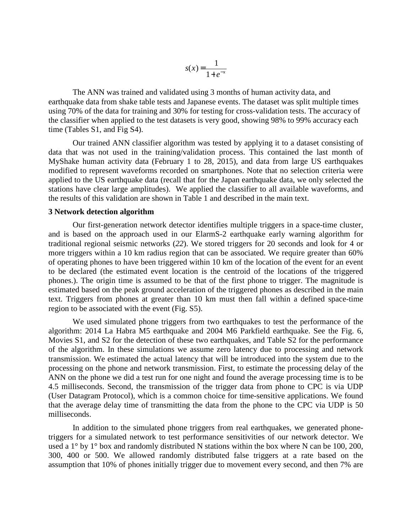$$
s(x) = \frac{1}{1 + e^{-x}}
$$

The ANN was trained and validated using 3 months of human activity data, and earthquake data from shake table tests and Japanese events. The dataset was split multiple times using 70% of the data for training and 30% for testing for cross-validation tests. The accuracy of the classifier when applied to the test datasets is very good, showing 98% to 99% accuracy each time (Tables S1, and Fig S4).

Our trained ANN classifier algorithm was tested by applying it to a dataset consisting of data that was not used in the training/validation process. This contained the last month of MyShake human activity data (February 1 to 28, 2015), and data from large US earthquakes modified to represent waveforms recorded on smartphones. Note that no selection criteria were applied to the US earthquake data (recall that for the Japan earthquake data, we only selected the stations have clear large amplitudes). We applied the classifier to all available waveforms, and the results of this validation are shown in Table 1 and described in the main text.

#### **3 Network detection algorithm**

Our first-generation network detector identifies multiple triggers in a space-time cluster, and is based on the approach used in our ElarmS-2 earthquake early warning algorithm for traditional regional seismic networks (*22*). We stored triggers for 20 seconds and look for 4 or more triggers within a 10 km radius region that can be associated. We require greater than 60% of operating phones to have been triggered within 10 km of the location of the event for an event to be declared (the estimated event location is the centroid of the locations of the triggered phones.). The origin time is assumed to be that of the first phone to trigger. The magnitude is estimated based on the peak ground acceleration of the triggered phones as described in the main text. Triggers from phones at greater than 10 km must then fall within a defined space-time region to be associated with the event (Fig. S5).

We used simulated phone triggers from two earthquakes to test the performance of the algorithm: 2014 La Habra M5 earthquake and 2004 M6 Parkfield earthquake. See the Fig. 6, Movies S1, and S2 for the detection of these two earthquakes, and Table S2 for the performance of the algorithm. In these simulations we assume zero latency due to processing and network transmission. We estimated the actual latency that will be introduced into the system due to the processing on the phone and network transmission. First, to estimate the processing delay of the ANN on the phone we did a test run for one night and found the average processing time is to be 4.5 milliseconds. Second, the transmission of the trigger data from phone to CPC is via UDP (User Datagram Protocol), which is a common choice for time-sensitive applications. We found that the average delay time of transmitting the data from the phone to the CPC via UDP is 50 milliseconds.

In addition to the simulated phone triggers from real earthquakes, we generated phonetriggers for a simulated network to test performance sensitivities of our network detector. We used a 1<sup>°</sup> by 1<sup>°</sup> box and randomly distributed N stations within the box where N can be 100, 200, 300, 400 or 500. We allowed randomly distributed false triggers at a rate based on the assumption that 10% of phones initially trigger due to movement every second, and then 7% are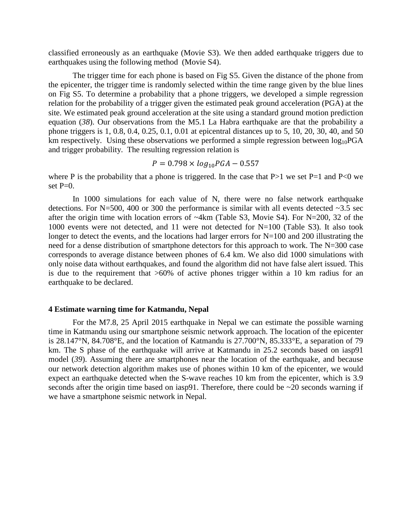classified erroneously as an earthquake (Movie S3). We then added earthquake triggers due to earthquakes using the following method (Movie S4).

The trigger time for each phone is based on Fig S5. Given the distance of the phone from the epicenter, the trigger time is randomly selected within the time range given by the blue lines on Fig S5. To determine a probability that a phone triggers, we developed a simple regression relation for the probability of a trigger given the estimated peak ground acceleration (PGA) at the site. We estimated peak ground acceleration at the site using a standard ground motion prediction equation (*38*). Our observations from the M5.1 La Habra earthquake are that the probability a phone triggers is 1, 0.8, 0.4, 0.25, 0.1, 0.01 at epicentral distances up to 5, 10, 20, 30, 40, and 50 km respectively. Using these observations we performed a simple regression between  $log_{10}PGA$ and trigger probability. The resulting regression relation is

$$
P = 0.798 \times \log_{10} PGA - 0.557
$$

where P is the probability that a phone is triggered. In the case that  $P>1$  we set  $P=1$  and  $P<0$  we set  $P=0$ .

In 1000 simulations for each value of N, there were no false network earthquake detections. For N=500, 400 or 300 the performance is similar with all events detected  $\sim$ 3.5 sec after the origin time with location errors of ~4km (Table S3, Movie S4). For N=200, 32 of the 1000 events were not detected, and 11 were not detected for N=100 (Table S3). It also took longer to detect the events, and the locations had larger errors for N=100 and 200 illustrating the need for a dense distribution of smartphone detectors for this approach to work. The N=300 case corresponds to average distance between phones of 6.4 km. We also did 1000 simulations with only noise data without earthquakes, and found the algorithm did not have false alert issued. This is due to the requirement that >60% of active phones trigger within a 10 km radius for an earthquake to be declared.

#### **4 Estimate warning time for Katmandu, Nepal**

For the M7.8, 25 April 2015 earthquake in Nepal we can estimate the possible warning time in Katmandu using our smartphone seismic network approach. The location of the epicenter is 28.147°N, 84.708°E, and the location of Katmandu is 27.700°N, 85.333°E, a separation of 79 km. The S phase of the earthquake will arrive at Katmandu in 25.2 seconds based on iasp91 model (*39*). Assuming there are smartphones near the location of the earthquake, and because our network detection algorithm makes use of phones within 10 km of the epicenter, we would expect an earthquake detected when the S-wave reaches 10 km from the epicenter, which is 3.9 seconds after the origin time based on iasp91. Therefore, there could be ~20 seconds warning if we have a smartphone seismic network in Nepal.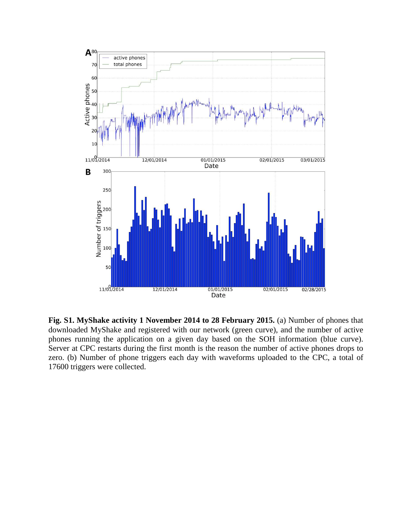

**Fig. S1. MyShake activity 1 November 2014 to 28 February 2015.** (a) Number of phones that downloaded MyShake and registered with our network (green curve), and the number of active phones running the application on a given day based on the SOH information (blue curve). Server at CPC restarts during the first month is the reason the number of active phones drops to zero. (b) Number of phone triggers each day with waveforms uploaded to the CPC, a total of 17600 triggers were collected.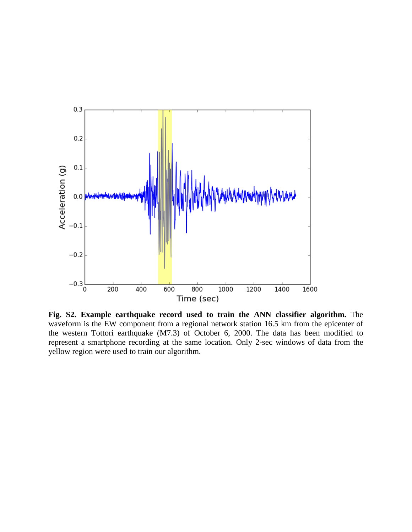

Fig. S2. Example earthquake record used to train the ANN classifier algorithm. waveform is the EW component from a regional network station 16.5 km from the epicenter of waveform is the EW component from a regional network station 16.5 km from the epicenter of the western Tottori earthquake (M7.3) of October 6, 2000. The data has been modified to the western Tottori earthquake (M7.3) of October 6, 2000. The data has been modified to represent a smartphone recording at the same location. Only 2-sec windows of data from the yellow region were used to train our algorithm. **earthquake record used to train the ANN classifier algorithm.** The W component from a regional network station 16.5 km from the epicenter of earthquake  $(M7.3)$  of October 6, 2000. The data has been modified to none recor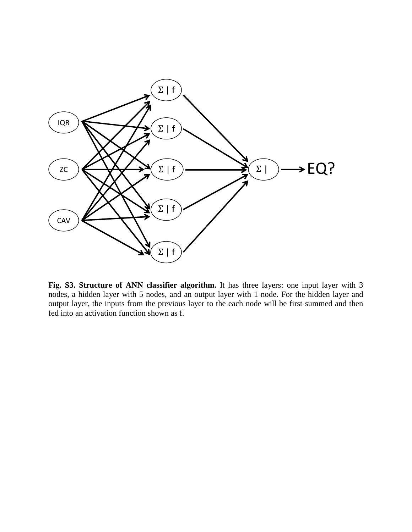

**Fig. S3. Structure of ANN classifier algorithm.** It has three layers: one input layer with 3 nodes, a hidden layer with 5 nodes, and an output layer with 1 node. For the hidden layer and output layer, the inputs from the previous layer to the each node will be first summed and then fed into an activation function shown as f.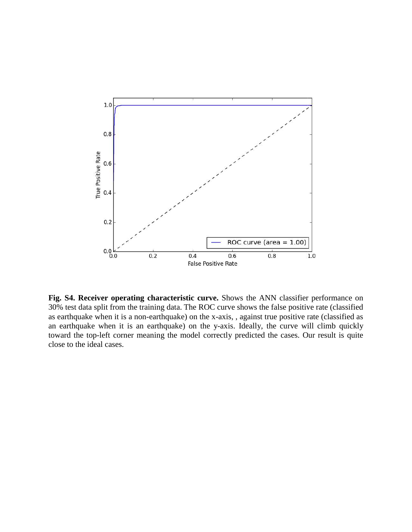

**Fig. S4. Receiver operating characteristic curve.** Shows the ANN classifier performance on 30% test data split from the training data. The ROC curve shows the false positive rate (classified as earthquake when it is a non-earthquake) on the x-axis, , against true positive rate (classified as an earthquake when it is an earthquake) on the y-axis. Ideally, the curve will climb quickly an earthquake when it is an earthquake) on the y-axis. Ideally, the curve will climb quickly toward the top-left corner meaning the model correctly predicted the cases. Our result is quite close to the ideal cases.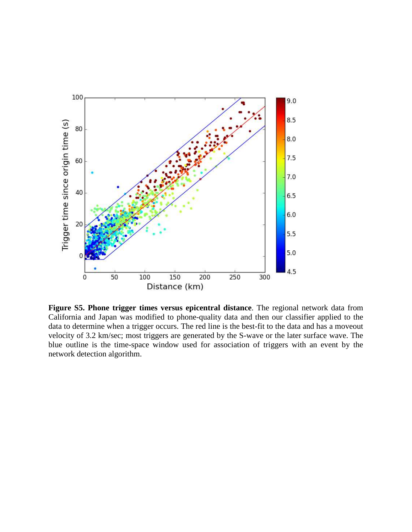

Figure S5. Phone trigger times versus epicentral distance. The regional network data California and Japan was modified to phone-quality data and then our classifier applied to the California and Japan was modified to phone-quality data and then our classifier applied to the data to determine when a trigger occurs. The red line is the best-fit to the data and has a moveout velocity of 3.2 km/sec; most triggers are generated by the S-wave or the later surface wave. The blue outline is the time-space window used for association of triggers with an event by the network detection algorithm. er **times versus epicentral distance**. The regional network data from smodified to phone-quality data and then our classifier applied to the trigger occurs. The red line is the best-fit to the data and has a moveout ost tr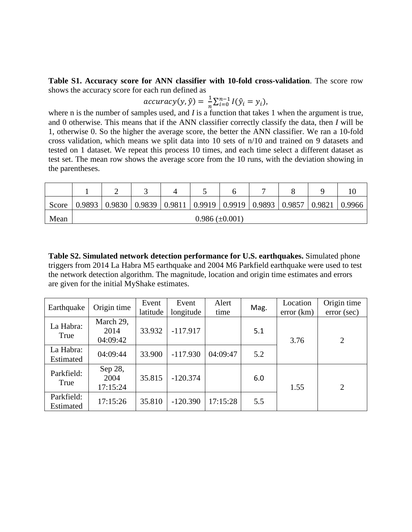**Table S1. Accuracy score for ANN classifier with 10-fold cross-validation**. The score row shows the accuracy score for each run defined as

$$
accuracy(y, \hat{y}) = \frac{1}{n} \sum_{i=0}^{n-1} I(\hat{y}_i = y_i),
$$

where n is the number of samples used, and *I* is a function that takes 1 when the argument is true, and 0 otherwise. This means that if the ANN classifier correctly classify the data, then *I* will be 1, otherwise 0. So the higher the average score, the better the ANN classifier. We ran a 10-fold cross validation, which means we split data into 10 sets of n/10 and trained on 9 datasets and tested on 1 dataset. We repeat this process 10 times, and each time select a different dataset as test set. The mean row shows the average score from the 10 runs, with the deviation showing in the parentheses.

| Score | 0.9893                | 0.9830 |  |  |  | $0.9839$   0.9811   0.9919   0.9919   0.9893   0.9857   0.9821 |  |  | 0.9966 |
|-------|-----------------------|--------|--|--|--|----------------------------------------------------------------|--|--|--------|
| Mean  | $0.986 \ (\pm 0.001)$ |        |  |  |  |                                                                |  |  |        |

**Table S2. Simulated network detection performance for U.S. earthquakes.** Simulated phone triggers from 2014 La Habra M5 earthquake and 2004 M6 Parkfield earthquake were used to test the network detection algorithm. The magnitude, location and origin time estimates and errors are given for the initial MyShake estimates.

| Earthquake        | Origin time    | Event    | Event      | Alert    | Mag. | Location  | Origin time |
|-------------------|----------------|----------|------------|----------|------|-----------|-------------|
|                   |                | latitude | longitude  | time     |      | error(km) | error (sec) |
| La Habra:<br>True | March 29,      |          |            |          |      |           |             |
|                   | 2014           | 33.932   | $-117.917$ |          | 5.1  |           |             |
|                   | 04:09:42       |          |            |          |      | 3.76      | 2           |
| La Habra:         | 04:09:44       | 33.900   | $-117.930$ | 04:09:47 | 5.2  |           |             |
| Estimated         |                |          |            |          |      |           |             |
| Parkfield:        | Sep 28,        |          |            |          |      |           |             |
| True              | 2004<br>35.815 |          | $-120.374$ |          | 6.0  |           |             |
|                   | 17:15:24       |          |            |          |      | 1.55      | 2           |
| Parkfield:        | 17:15:26       | 35.810   | $-120.390$ | 17:15:28 | 5.5  |           |             |
| Estimated         |                |          |            |          |      |           |             |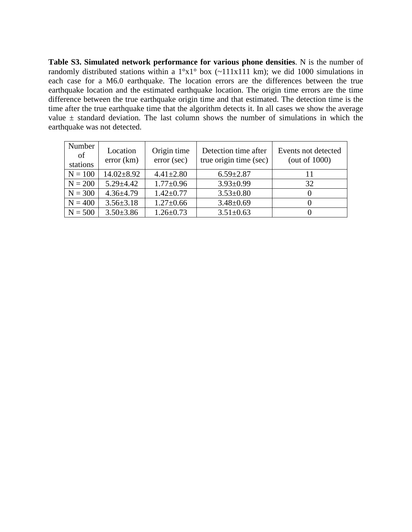**Table S3. Simulated network performance for various phone densities**. N is the number of randomly distributed stations within a  $1^{\circ}x1^{\circ}$  box (~111x111 km); we did 1000 simulations in each case for a M6.0 earthquake. The location errors are the differences between the true earthquake location and the estimated earthquake location. The origin time errors are the time difference between the true earthquake origin time and that estimated. The detection time is the time after the true earthquake time that the algorithm detects it. In all cases we show the average value  $\pm$  standard deviation. The last column shows the number of simulations in which the earthquake was not detected.

| Number<br>of<br>stations | Location<br>error(km) | Origin time<br>error (sec) | Detection time after<br>true origin time (sec) | Events not detected<br>(out of $1000$ ) |
|--------------------------|-----------------------|----------------------------|------------------------------------------------|-----------------------------------------|
| $N = 100$                | $14.02 + 8.92$        | $4.41 \pm 2.80$            | $6.59 \pm 2.87$                                | 11                                      |
| $N = 200$                | $5.29 \pm 4.42$       | $1.77 \pm 0.96$            | $3.93 \pm 0.99$                                | 32                                      |
| $N = 300$                | $4.36 \pm 4.79$       | $1.42 \pm 0.77$            | $3.53 \pm 0.80$                                |                                         |
| $N = 400$                | $3.56 \pm 3.18$       | $1.27 \pm 0.66$            | $3.48 \pm 0.69$                                |                                         |
| $N = 500$                | $3.50 \pm 3.86$       | $1.26 \pm 0.73$            | $3.51 \pm 0.63$                                |                                         |